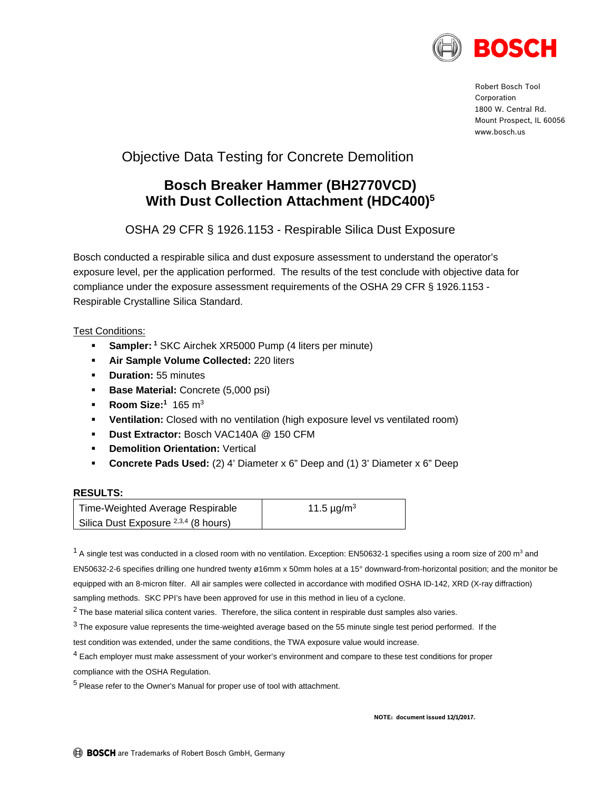

Robert Bosch Tool Corporation 1800 W. Central Rd. Mount Prospect, IL 60056 www.bosch.us

# Objective Data Testing for Concrete Demolition

## **Bosch Breaker Hammer (BH2770VCD) With Dust Collection Attachment (HDC400)5**

OSHA 29 CFR § 1926.1153 - Respirable Silica Dust Exposure

Bosch conducted a respirable silica and dust exposure assessment to understand the operator's exposure level, per the application performed. The results of the test conclude with objective data for compliance under the exposure assessment requirements of the OSHA 29 CFR § 1926.1153 - Respirable Crystalline Silica Standard.

### Test Conditions:

- **Sampler:** <sup>1</sup> SKC Airchek XR5000 Pump (4 liters per minute)
- **Air Sample Volume Collected:** 220 liters
- **•** Duration: 55 minutes
- **Base Material:** Concrete (5,000 psi)
- **Room Size:**<sup>1</sup> 165 m<sup>3</sup>
- **Ventilation:** Closed with no ventilation (high exposure level vs ventilated room)
- **Dust Extractor:** Bosch VAC140A @ 150 CFM
- **Demolition Orientation:** Vertical
- **Concrete Pads Used:** (2) 4' Diameter x 6" Deep and (1) 3' Diameter x 6" Deep

#### **RESULTS:**

| Time-Weighted Average Respirable                | 11.5 $\mu$ g/m <sup>3</sup> |
|-------------------------------------------------|-----------------------------|
| Silica Dust Exposure <sup>2,3,4</sup> (8 hours) |                             |

 $^1$  A single test was conducted in a closed room with no ventilation. Exception: EN50632-1 specifies using a room size of 200 m<sup>3</sup> and EN50632-2-6 specifies drilling one hundred twenty ø16mm x 50mm holes at a 15° downward-from-horizontal position; and the monitor be equipped with an 8-micron filter. All air samples were collected in accordance with modified OSHA ID-142, XRD (X-ray diffraction) sampling methods. SKC PPI's have been approved for use in this method in lieu of a cyclone.

 $2$  The base material silica content varies. Therefore, the silica content in respirable dust samples also varies.

 $3$  The exposure value represents the time-weighted average based on the 55 minute single test period performed. If the

test condition was extended, under the same conditions, the TWA exposure value would increase.

<sup>4</sup> Each employer must make assessment of your worker's environment and compare to these test conditions for proper compliance with the OSHA Regulation.

<sup>5</sup> Please refer to the Owner's Manual for proper use of tool with attachment.

**NOTE: document issued 12/1/2017.**